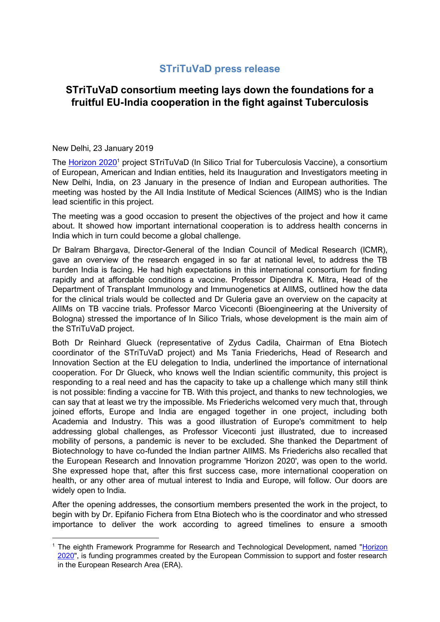## **STriTuVaD press release**

## **STriTuVaD consortium meeting lays down the foundations for a fruitful EU-India cooperation in the fight against Tuberculosis**

## New Delhi, 23 January 2019

<u>.</u>

The [Horizon 2020](https://ec.europa.eu/programmes/horizon2020/en)<sup>1</sup> project STriTuVaD (In Silico Trial for Tuberculosis Vaccine), a consortium of European, American and Indian entities, held its Inauguration and Investigators meeting in New Delhi, India, on 23 January in the presence of Indian and European authorities. The meeting was hosted by the All India Institute of Medical Sciences (AIIMS) who is the Indian lead scientific in this project.

The meeting was a good occasion to present the objectives of the project and how it came about. It showed how important international cooperation is to address health concerns in India which in turn could become a global challenge.

Dr Balram Bhargava, Director-General of the Indian Council of Medical Research (ICMR), gave an overview of the research engaged in so far at national level, to address the TB burden India is facing. He had high expectations in this international consortium for finding rapidly and at affordable conditions a vaccine. Professor Dipendra K. Mitra, Head of the Department of Transplant Immunology and Immunogenetics at AIIMS, outlined how the data for the clinical trials would be collected and Dr Guleria gave an overview on the capacity at AIIMs on TB vaccine trials. Professor Marco Viceconti (Bioengineering at the University of Bologna) stressed the importance of In Silico Trials, whose development is the main aim of the STriTuVaD project.

Both Dr Reinhard Glueck (representative of Zydus Cadila, Chairman of Etna Biotech coordinator of the STriTuVaD project) and Ms Tania Friederichs, Head of Research and Innovation Section at the EU delegation to India, underlined the importance of international cooperation. For Dr Glueck, who knows well the Indian scientific community, this project is responding to a real need and has the capacity to take up a challenge which many still think is not possible: finding a vaccine for TB. With this project, and thanks to new technologies, we can say that at least we try the impossible. Ms Friederichs welcomed very much that, through joined efforts, Europe and India are engaged together in one project, including both Academia and Industry. This was a good illustration of Europe's commitment to help addressing global challenges, as Professor Viceconti just illustrated, due to increased mobility of persons, a pandemic is never to be excluded. She thanked the Department of Biotechnology to have co-funded the Indian partner AIIMS. Ms Friederichs also recalled that the European Research and Innovation programme 'Horizon 2020', was open to the world. She expressed hope that, after this first success case, more international cooperation on health, or any other area of mutual interest to India and Europe, will follow. Our doors are widely open to India.

After the opening addresses, the consortium members presented the work in the project, to begin with by Dr. Epifanio Fichera from Etna Biotech who is the coordinator and who stressed importance to deliver the work according to agreed timelines to ensure a smooth

<sup>&</sup>lt;sup>1</sup> The eighth Framework Programme for Research and Technological Development, named "Horizon [2020"](https://ec.europa.eu/programmes/horizon2020/en), is funding programmes created by the European Commission to support and foster research in the European Research Area (ERA).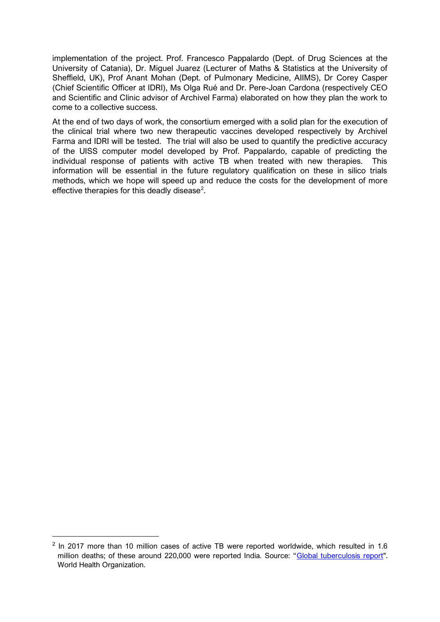implementation of the project. Prof. Francesco Pappalardo (Dept. of Drug Sciences at the University of Catania), Dr. Miguel Juarez (Lecturer of Maths & Statistics at the University of Sheffield, UK), Prof Anant Mohan (Dept. of Pulmonary Medicine, AIIMS), Dr Corey Casper (Chief Scientific Officer at IDRI), Ms Olga Rué and Dr. Pere-Joan Cardona (respectively CEO and Scientific and Clinic advisor of Archivel Farma) elaborated on how they plan the work to come to a collective success.

At the end of two days of work, the consortium emerged with a solid plan for the execution of the clinical trial where two new therapeutic vaccines developed respectively by Archivel Farma and IDRI will be tested. The trial will also be used to quantify the predictive accuracy of the UISS computer model developed by Prof. Pappalardo, capable of predicting the individual response of patients with active TB when treated with new therapies. This information will be essential in the future regulatory qualification on these in silico trials methods, which we hope will speed up and reduce the costs for the development of more effective therapies for this deadly disease<sup>2</sup>.

<u>.</u>

 $2$  In 2017 more than 10 million cases of active TB were reported worldwide, which resulted in 1.6 million deaths; of these around 220,000 were reported India. Source: "[Global tuberculosis report"](https://www.who.int/tb/publications/global_report/en/). World Health Organization.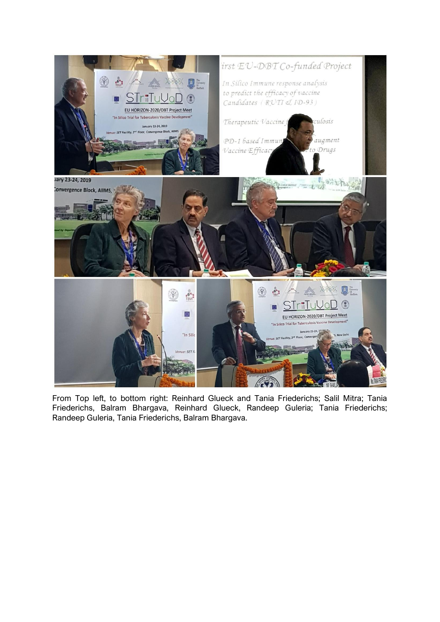

From Top left, to bottom right: Reinhard Glueck and Tania Friederichs; Salil Mitra; Tania Friederichs, Balram Bhargava, Reinhard Glueck, Randeep Guleria; Tania Friederichs; Randeep Guleria, Tania Friederichs, Balram Bhargava.